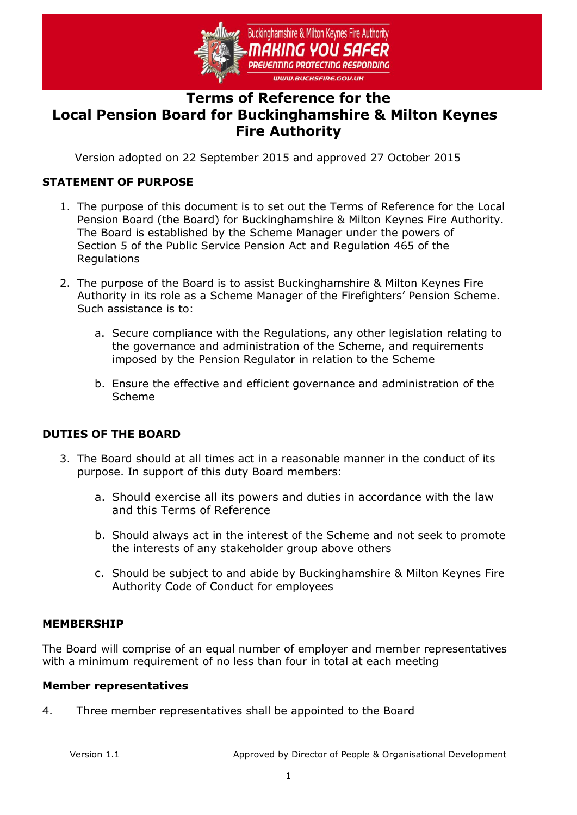

# **Terms of Reference for the Local Pension Board for Buckinghamshire & Milton Keynes Fire Authority**

Version adopted on 22 September 2015 and approved 27 October 2015

# **STATEMENT OF PURPOSE**

- 1. The purpose of this document is to set out the Terms of Reference for the Local Pension Board (the Board) for Buckinghamshire & Milton Keynes Fire Authority. The Board is established by the Scheme Manager under the powers of Section 5 of the Public Service Pension Act and Regulation 465 of the Regulations
- 2. The purpose of the Board is to assist Buckinghamshire & Milton Keynes Fire Authority in its role as a Scheme Manager of the Firefighters' Pension Scheme. Such assistance is to:
	- a. Secure compliance with the Regulations, any other legislation relating to the governance and administration of the Scheme, and requirements imposed by the Pension Regulator in relation to the Scheme
	- b. Ensure the effective and efficient governance and administration of the Scheme

### **DUTIES OF THE BOARD**

- 3. The Board should at all times act in a reasonable manner in the conduct of its purpose. In support of this duty Board members:
	- a. Should exercise all its powers and duties in accordance with the law and this Terms of Reference
	- b. Should always act in the interest of the Scheme and not seek to promote the interests of any stakeholder group above others
	- c. Should be subject to and abide by Buckinghamshire & Milton Keynes Fire Authority Code of Conduct for employees

### **MEMBERSHIP**

The Board will comprise of an equal number of employer and member representatives with a minimum requirement of no less than four in total at each meeting

#### **Member representatives**

4. Three member representatives shall be appointed to the Board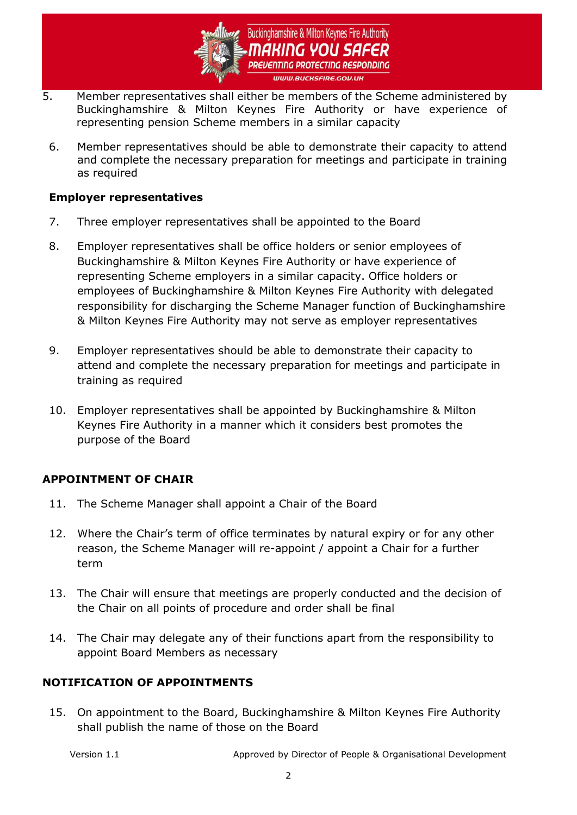

- 5. Member representatives shall either be members of the Scheme administered by Buckinghamshire & Milton Keynes Fire Authority or have experience of representing pension Scheme members in a similar capacity
	- 6. Member representatives should be able to demonstrate their capacity to attend and complete the necessary preparation for meetings and participate in training as required

### **Employer representatives**

- 7. Three employer representatives shall be appointed to the Board
- 8. Employer representatives shall be office holders or senior employees of Buckinghamshire & Milton Keynes Fire Authority or have experience of representing Scheme employers in a similar capacity. Office holders or employees of Buckinghamshire & Milton Keynes Fire Authority with delegated responsibility for discharging the Scheme Manager function of Buckinghamshire & Milton Keynes Fire Authority may not serve as employer representatives
- 9. Employer representatives should be able to demonstrate their capacity to attend and complete the necessary preparation for meetings and participate in training as required
- 10. Employer representatives shall be appointed by Buckinghamshire & Milton Keynes Fire Authority in a manner which it considers best promotes the purpose of the Board

# **APPOINTMENT OF CHAIR**

- 11. The Scheme Manager shall appoint a Chair of the Board
- 12. Where the Chair's term of office terminates by natural expiry or for any other reason, the Scheme Manager will re-appoint / appoint a Chair for a further term
- 13. The Chair will ensure that meetings are properly conducted and the decision of the Chair on all points of procedure and order shall be final
- 14. The Chair may delegate any of their functions apart from the responsibility to appoint Board Members as necessary

### **NOTIFICATION OF APPOINTMENTS**

15. On appointment to the Board, Buckinghamshire & Milton Keynes Fire Authority shall publish the name of those on the Board

Version 1.1 Approved by Director of People & Organisational Development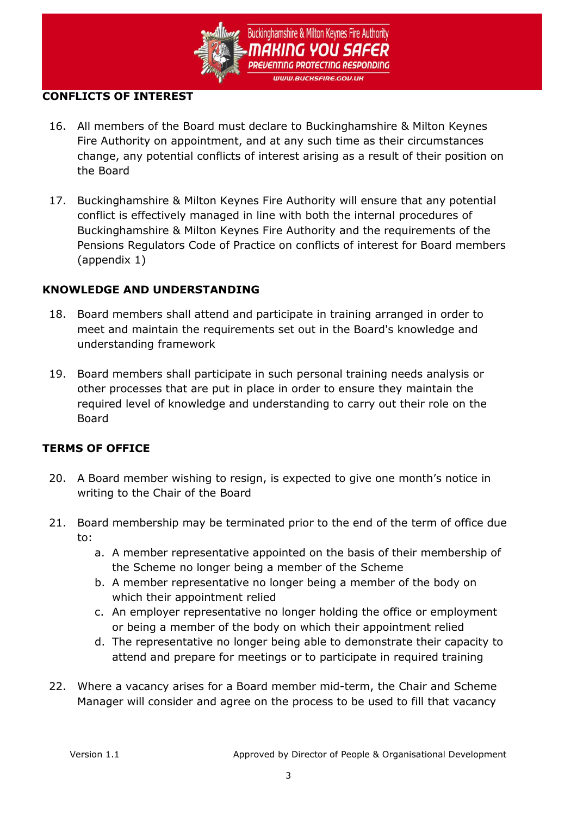

### **CONFLICTS OF INTEREST**

- 16. All members of the Board must declare to Buckinghamshire & Milton Keynes Fire Authority on appointment, and at any such time as their circumstances change, any potential conflicts of interest arising as a result of their position on the Board
- 17. Buckinghamshire & Milton Keynes Fire Authority will ensure that any potential conflict is effectively managed in line with both the internal procedures of Buckinghamshire & Milton Keynes Fire Authority and the requirements of the Pensions Regulators Code of Practice on conflicts of interest for Board members (appendix 1)

### **KNOWLEDGE AND UNDERSTANDING**

- 18. Board members shall attend and participate in training arranged in order to meet and maintain the requirements set out in the Board's knowledge and understanding framework
- 19. Board members shall participate in such personal training needs analysis or other processes that are put in place in order to ensure they maintain the required level of knowledge and understanding to carry out their role on the Board

# **TERMS OF OFFICE**

- 20. A Board member wishing to resign, is expected to give one month's notice in writing to the Chair of the Board
- 21. Board membership may be terminated prior to the end of the term of office due to:
	- a. A member representative appointed on the basis of their membership of the Scheme no longer being a member of the Scheme
	- b. A member representative no longer being a member of the body on which their appointment relied
	- c. An employer representative no longer holding the office or employment or being a member of the body on which their appointment relied
	- d. The representative no longer being able to demonstrate their capacity to attend and prepare for meetings or to participate in required training
- 22. Where a vacancy arises for a Board member mid-term, the Chair and Scheme Manager will consider and agree on the process to be used to fill that vacancy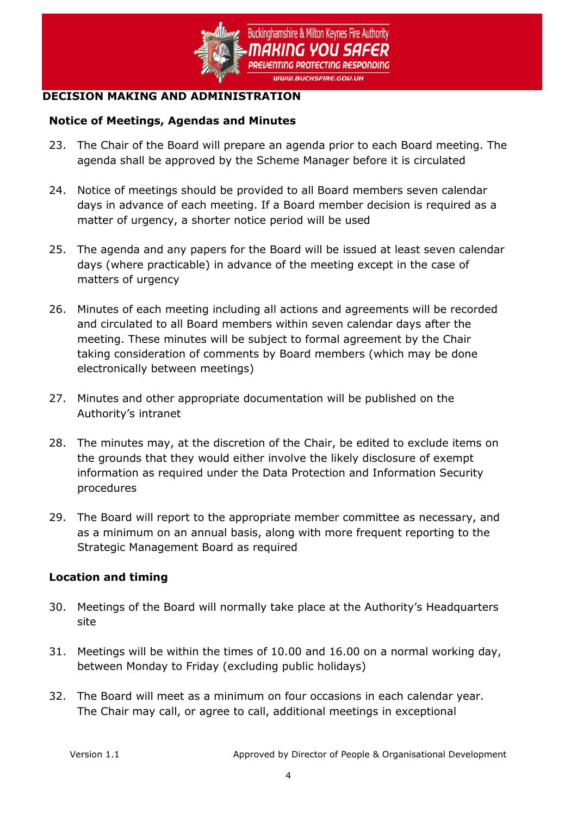

### **DECISION MAKING AND ADMINISTRATION**

### **Notice of Meetings, Agendas and Minutes**

- 23. The Chair of the Board will prepare an agenda prior to each Board meeting. The agenda shall be approved by the Scheme Manager before it is circulated
- 24. Notice of meetings should be provided to all Board members seven calendar days in advance of each meeting. If a Board member decision is required as a matter of urgency, a shorter notice period will be used
- 25. The agenda and any papers for the Board will be issued at least seven calendar days (where practicable) in advance of the meeting except in the case of matters of urgency
- 26. Minutes of each meeting including all actions and agreements will be recorded and circulated to all Board members within seven calendar days after the meeting. These minutes will be subject to formal agreement by the Chair taking consideration of comments by Board members (which may be done electronically between meetings)
- 27. Minutes and other appropriate documentation will be published on the Authority's intranet
- 28. The minutes may, at the discretion of the Chair, be edited to exclude items on the grounds that they would either involve the likely disclosure of exempt information as required under the Data Protection and Information Security procedures
- 29. The Board will report to the appropriate member committee as necessary, and as a minimum on an annual basis, along with more frequent reporting to the Strategic Management Board as required

# **Location and timing**

- 30. Meetings of the Board will normally take place at the Authority's Headquarters site
- 31. Meetings will be within the times of 10.00 and 16.00 on a normal working day, between Monday to Friday (excluding public holidays)
- 32. The Board will meet as a minimum on four occasions in each calendar year. The Chair may call, or agree to call, additional meetings in exceptional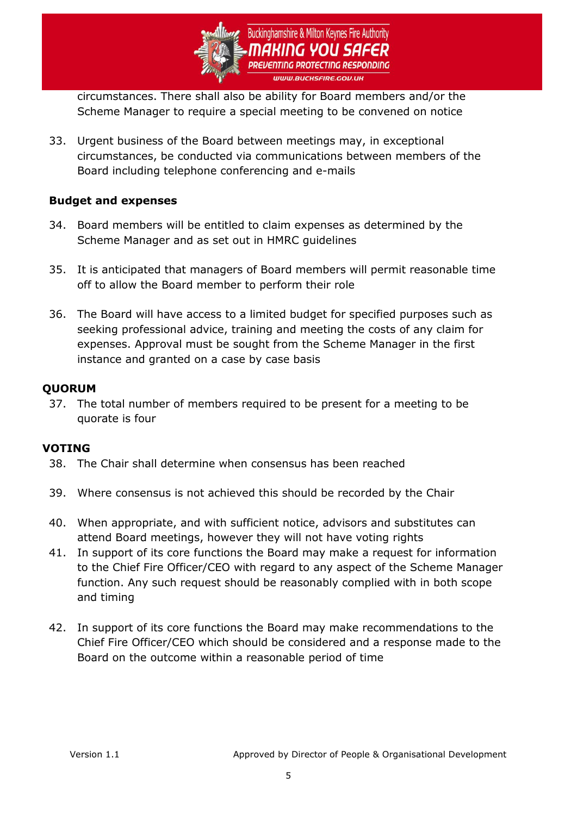

circumstances. There shall also be ability for Board members and/or the Scheme Manager to require a special meeting to be convened on notice

33. Urgent business of the Board between meetings may, in exceptional circumstances, be conducted via communications between members of the Board including telephone conferencing and e-mails

### **Budget and expenses**

- 34. Board members will be entitled to claim expenses as determined by the Scheme Manager and as set out in HMRC guidelines
- 35. It is anticipated that managers of Board members will permit reasonable time off to allow the Board member to perform their role
- 36. The Board will have access to a limited budget for specified purposes such as seeking professional advice, training and meeting the costs of any claim for expenses. Approval must be sought from the Scheme Manager in the first instance and granted on a case by case basis

### **QUORUM**

37. The total number of members required to be present for a meeting to be quorate is four

#### **VOTING**

- 38. The Chair shall determine when consensus has been reached
- 39. Where consensus is not achieved this should be recorded by the Chair
- 40. When appropriate, and with sufficient notice, advisors and substitutes can attend Board meetings, however they will not have voting rights
- 41. In support of its core functions the Board may make a request for information to the Chief Fire Officer/CEO with regard to any aspect of the Scheme Manager function. Any such request should be reasonably complied with in both scope and timing
- 42. In support of its core functions the Board may make recommendations to the Chief Fire Officer/CEO which should be considered and a response made to the Board on the outcome within a reasonable period of time